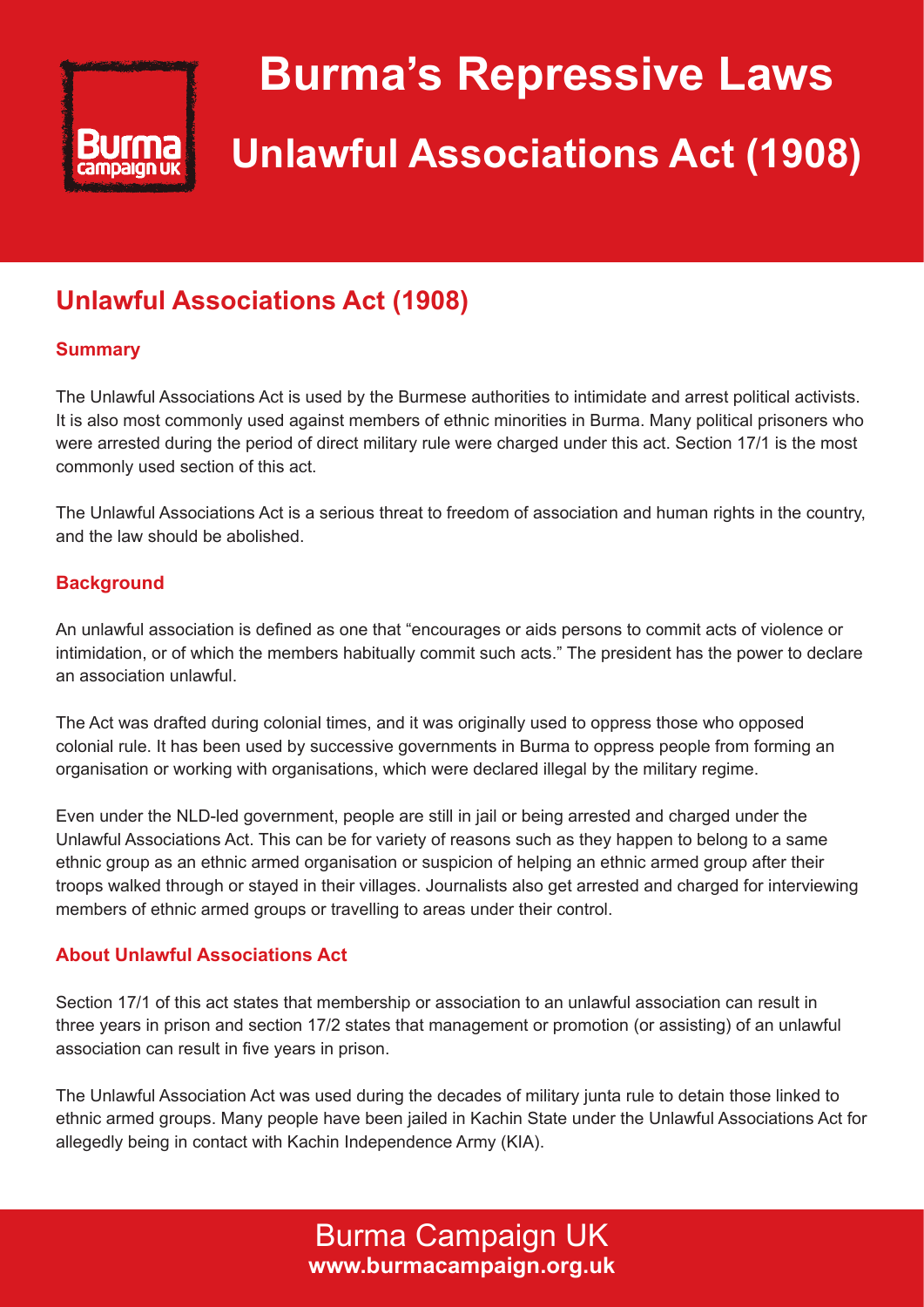

# **Burma's Repressive Laws Unlawful Associations Act (1908)**

# **Unlawful Associations Act (1908)**

# **Summary**

The Unlawful Associations Act is used by the Burmese authorities to intimidate and arrest political activists. It is also most commonly used against members of ethnic minorities in Burma. Many political prisoners who were arrested during the period of direct military rule were charged under this act. Section 17/1 is the most commonly used section of this act.

The Unlawful Associations Act is a serious threat to freedom of association and human rights in the country, and the law should be abolished.

### **Background**

An unlawful association is defined as one that "encourages or aids persons to commit acts of violence or intimidation, or of which the members habitually commit such acts." The president has the power to declare an association unlawful.

The Act was drafted during colonial times, and it was originally used to oppress those who opposed colonial rule. It has been used by successive governments in Burma to oppress people from forming an organisation or working with organisations, which were declared illegal by the military regime.

Even under the NLD-led government, people are still in jail or being arrested and charged under the Unlawful Associations Act. This can be for variety of reasons such as they happen to belong to a same ethnic group as an ethnic armed organisation or suspicion of helping an ethnic armed group after their troops walked through or stayed in their villages. Journalists also get arrested and charged for interviewing members of ethnic armed groups or travelling to areas under their control.

### **About Unlawful Associations Act**

Section 17/1 of this act states that membership or association to an unlawful association can result in three years in prison and section 17/2 states that management or promotion (or assisting) of an unlawful association can result in five years in prison.

The Unlawful Association Act was used during the decades of military junta rule to detain those linked to ethnic armed groups. Many people have been jailed in Kachin State under the Unlawful Associations Act for allegedly being in contact with Kachin Independence Army (KIA).

> Burma Campaign UK **www.burmacampaign.org.uk**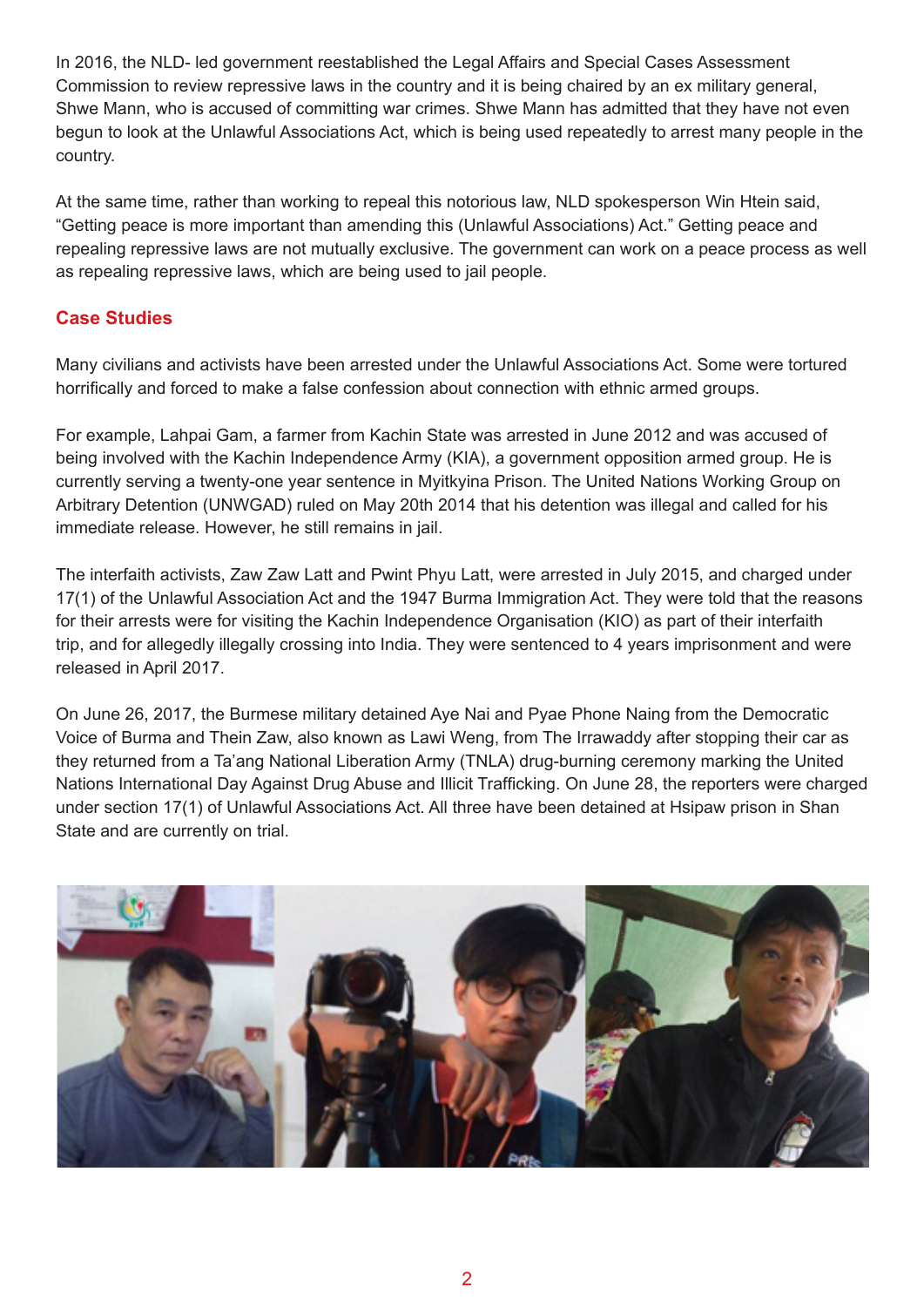In 2016, the NLD- led government reestablished the Legal Affairs and Special Cases Assessment Commission to review repressive laws in the country and it is being chaired by an ex military general, Shwe Mann, who is accused of committing war crimes. Shwe Mann has admitted that they have not even begun to look at the Unlawful Associations Act, which is being used repeatedly to arrest many people in the country.

At the same time, rather than working to repeal this notorious law, NLD spokesperson Win Htein said, "Getting peace is more important than amending this (Unlawful Associations) Act." Getting peace and repealing repressive laws are not mutually exclusive. The government can work on a peace process as well as repealing repressive laws, which are being used to jail people.

## **Case Studies**

Many civilians and activists have been arrested under the Unlawful Associations Act. Some were tortured horrifically and forced to make a false confession about connection with ethnic armed groups.

For example, Lahpai Gam, a farmer from Kachin State was arrested in June 2012 and was accused of being involved with the Kachin Independence Army (KIA), a government opposition armed group. He is currently serving a twenty-one year sentence in Myitkyina Prison. The United Nations Working Group on Arbitrary Detention (UNWGAD) ruled on May 20th 2014 that his detention was illegal and called for his immediate release. However, he still remains in jail.

The interfaith activists, Zaw Zaw Latt and Pwint Phyu Latt, were arrested in July 2015, and charged under 17(1) of the Unlawful Association Act and the 1947 Burma Immigration Act. They were told that the reasons for their arrests were for visiting the Kachin Independence Organisation (KIO) as part of their interfaith trip, and for allegedly illegally crossing into India. They were sentenced to 4 years imprisonment and were released in April 2017.

On June 26, 2017, the Burmese military detained Aye Nai and Pyae Phone Naing from the Democratic Voice of Burma and Thein Zaw, also known as Lawi Weng, from The Irrawaddy after stopping their car as they returned from a Ta'ang National Liberation Army (TNLA) drug-burning ceremony marking the United Nations International Day Against Drug Abuse and Illicit Trafficking. On June 28, the reporters were charged under section 17(1) of Unlawful Associations Act. All three have been detained at Hsipaw prison in Shan State and are currently on trial.

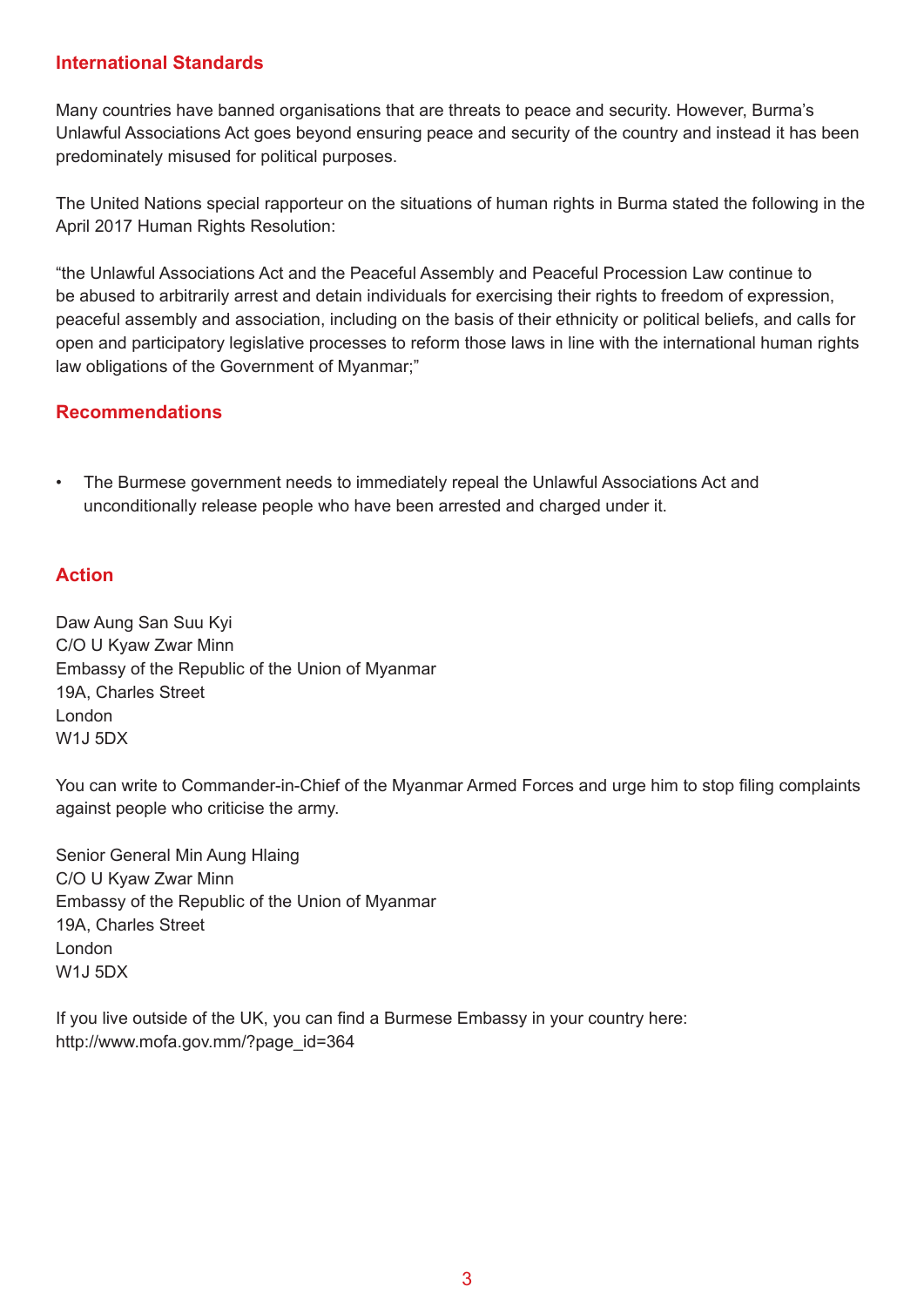#### **International Standards**

Many countries have banned organisations that are threats to peace and security. However, Burma's Unlawful Associations Act goes beyond ensuring peace and security of the country and instead it has been predominately misused for political purposes.

The United Nations special rapporteur on the situations of human rights in Burma stated the following in the April 2017 Human Rights Resolution:

"the Unlawful Associations Act and the Peaceful Assembly and Peaceful Procession Law continue to be abused to arbitrarily arrest and detain individuals for exercising their rights to freedom of expression, peaceful assembly and association, including on the basis of their ethnicity or political beliefs, and calls for open and participatory legislative processes to reform those laws in line with the international human rights law obligations of the Government of Myanmar;"

#### **Recommendations**

• The Burmese government needs to immediately repeal the Unlawful Associations Act and unconditionally release people who have been arrested and charged under it.

#### **Action**

Daw Aung San Suu Kyi C/O U Kyaw Zwar Minn Embassy of the Republic of the Union of Myanmar 19A, Charles Street London W1J 5DX

You can write to Commander-in-Chief of the Myanmar Armed Forces and urge him to stop filing complaints against people who criticise the army.

Senior General Min Aung Hlaing C/O U Kyaw Zwar Minn Embassy of the Republic of the Union of Myanmar 19A, Charles Street London W1J 5DX

If you live outside of the UK, you can find a Burmese Embassy in your country here: http://www.mofa.gov.mm/?page\_id=364